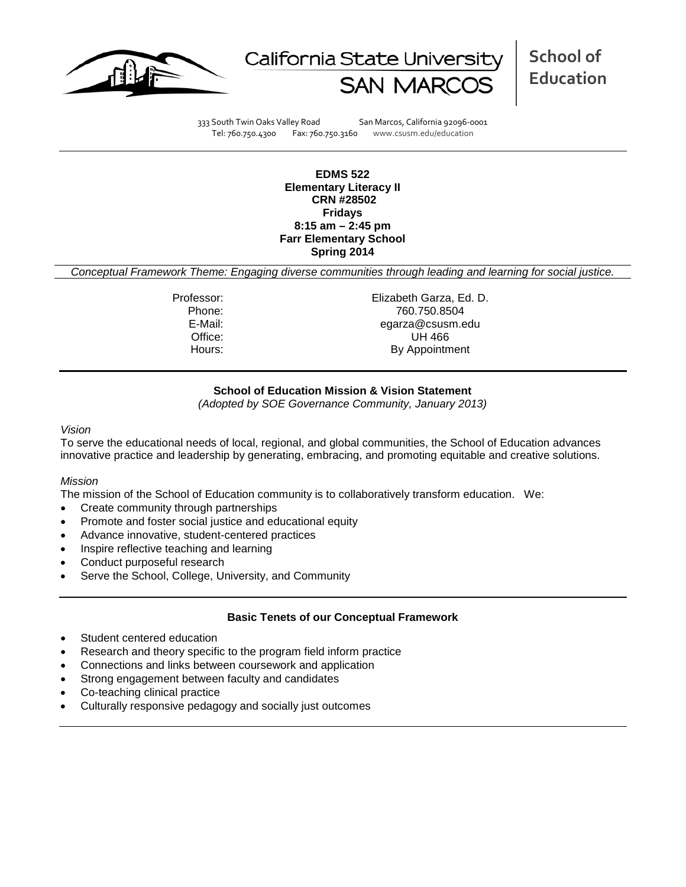



333 South Twin Oaks Valley Road San Marcos, California 92096-0001 Tel: 760.750.4300 Fax: 760.750.3160 www.csusm.edu/education

**EDMS 522 Elementary Literacy II CRN #28502 Fridays 8:15 am – 2:45 pm Farr Elementary School Spring 2014** 

*Conceptual Framework Theme: Engaging diverse communities through leading and learning for social justice.*

Professor: Elizabeth Garza, Ed. D. Phone: 760.750.8504<br>E-Mail: 760.750.8504<br>E-Mail: 760.000 E-Mail: egarza@csusm.edu Office: UH 466 Hours: By Appointment

# **School of Education Mission & Vision Statement**

*(Adopted by SOE Governance Community, January 2013)*

#### *Vision*

To serve the educational needs of local, regional, and global communities, the School of Education advances innovative practice and leadership by generating, embracing, and promoting equitable and creative solutions.

#### *Mission*

The mission of the School of Education community is to collaboratively transform education. We:

- Create community through partnerships
- Promote and foster social justice and educational equity
- Advance innovative, student-centered practices
- Inspire reflective teaching and learning
- Conduct purposeful research
- Serve the School, College, University, and Community

#### **Basic Tenets of our Conceptual Framework**

- Student centered education
- Research and theory specific to the program field inform practice
- Connections and links between coursework and application
- Strong engagement between faculty and candidates
- Co-teaching clinical practice
- Culturally responsive pedagogy and socially just outcomes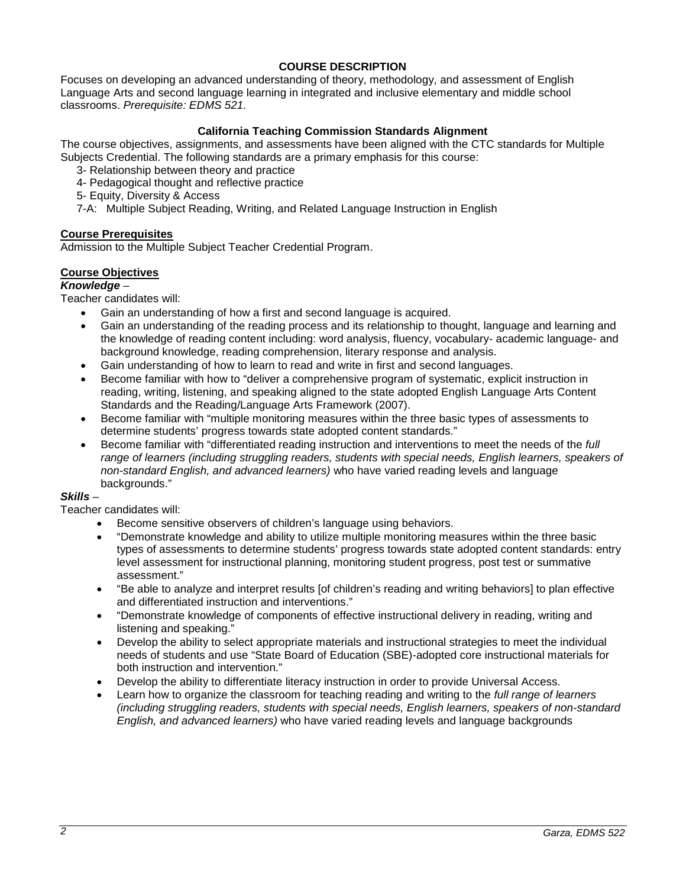# **COURSE DESCRIPTION**

Focuses on developing an advanced understanding of theory, methodology, and assessment of English Language Arts and second language learning in integrated and inclusive elementary and middle school classrooms. *Prerequisite: EDMS 521.*

# **California Teaching Commission Standards Alignment**

The course objectives, assignments, and assessments have been aligned with the CTC standards for Multiple Subjects Credential. The following standards are a primary emphasis for this course:

- 3- Relationship between theory and practice
- 4- Pedagogical thought and reflective practice
- 5- Equity, Diversity & Access
- 7-A: Multiple Subject Reading, Writing, and Related Language Instruction in English

#### **Course Prerequisites**

Admission to the Multiple Subject Teacher Credential Program.

### **Course Objectives**

#### *Knowledge* –

Teacher candidates will:

- Gain an understanding of how a first and second language is acquired.
- Gain an understanding of the reading process and its relationship to thought, language and learning and the knowledge of reading content including: word analysis, fluency, vocabulary- academic language- and background knowledge, reading comprehension, literary response and analysis.
- Gain understanding of how to learn to read and write in first and second languages.
- Become familiar with how to "deliver a comprehensive program of systematic, explicit instruction in reading, writing, listening, and speaking aligned to the state adopted English Language Arts Content Standards and the Reading/Language Arts Framework (2007).
- Become familiar with "multiple monitoring measures within the three basic types of assessments to determine students' progress towards state adopted content standards."
- Become familiar with "differentiated reading instruction and interventions to meet the needs of the *full range of learners (including struggling readers, students with special needs, English learners, speakers of non-standard English, and advanced learners)* who have varied reading levels and language backgrounds."

#### *Skills* –

Teacher candidates will:

- Become sensitive observers of children's language using behaviors.
- "Demonstrate knowledge and ability to utilize multiple monitoring measures within the three basic types of assessments to determine students' progress towards state adopted content standards: entry level assessment for instructional planning, monitoring student progress, post test or summative assessment."
- "Be able to analyze and interpret results [of children's reading and writing behaviors] to plan effective and differentiated instruction and interventions."
- "Demonstrate knowledge of components of effective instructional delivery in reading, writing and listening and speaking."
- Develop the ability to select appropriate materials and instructional strategies to meet the individual needs of students and use "State Board of Education (SBE)-adopted core instructional materials for both instruction and intervention."
- Develop the ability to differentiate literacy instruction in order to provide Universal Access.
- Learn how to organize the classroom for teaching reading and writing to the *full range of learners (including struggling readers, students with special needs, English learners, speakers of non-standard English, and advanced learners)* who have varied reading levels and language backgrounds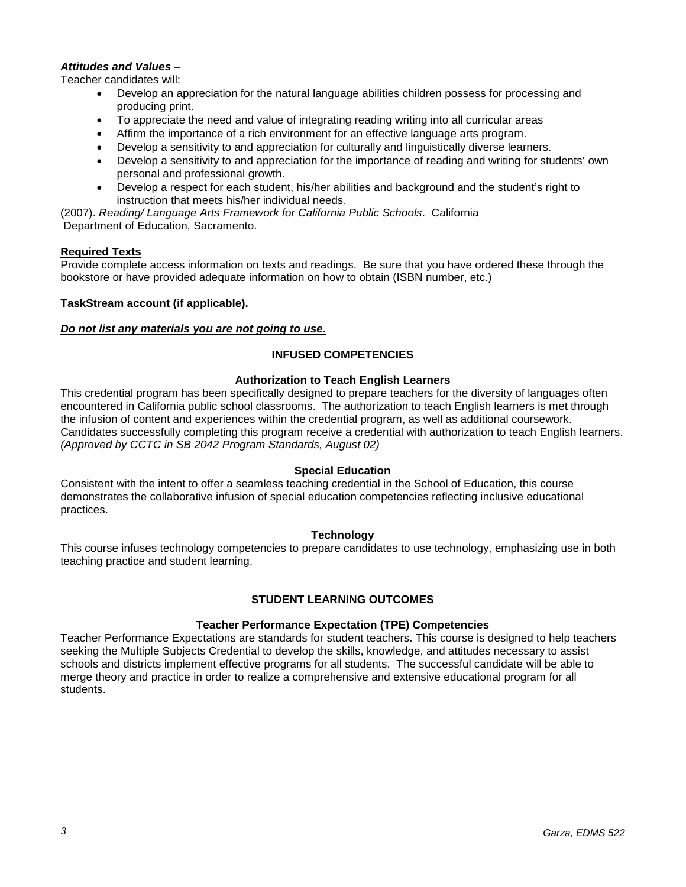# *Attitudes and Values* –

Teacher candidates will:

- Develop an appreciation for the natural language abilities children possess for processing and producing print.
- To appreciate the need and value of integrating reading writing into all curricular areas
- Affirm the importance of a rich environment for an effective language arts program.
- Develop a sensitivity to and appreciation for culturally and linguistically diverse learners.
- Develop a sensitivity to and appreciation for the importance of reading and writing for students' own personal and professional growth.
- Develop a respect for each student, his/her abilities and background and the student's right to instruction that meets his/her individual needs.

(2007). *Reading/ Language Arts Framework for California Public Schools*. California Department of Education, Sacramento.

### **Required Texts**

Provide complete access information on texts and readings. Be sure that you have ordered these through the bookstore or have provided adequate information on how to obtain (ISBN number, etc.)

### **TaskStream account (if applicable).**

#### *Do not list any materials you are not going to use.*

# **INFUSED COMPETENCIES**

#### **Authorization to Teach English Learners**

This credential program has been specifically designed to prepare teachers for the diversity of languages often encountered in California public school classrooms. The authorization to teach English learners is met through the infusion of content and experiences within the credential program, as well as additional coursework. Candidates successfully completing this program receive a credential with authorization to teach English learners. *(Approved by CCTC in SB 2042 Program Standards, August 02)*

#### **Special Education**

Consistent with the intent to offer a seamless teaching credential in the School of Education, this course demonstrates the collaborative infusion of special education competencies reflecting inclusive educational practices.

#### **Technology**

This course infuses technology competencies to prepare candidates to use technology, emphasizing use in both teaching practice and student learning.

# **STUDENT LEARNING OUTCOMES**

#### **Teacher Performance Expectation (TPE) Competencies**

Teacher Performance Expectations are standards for student teachers. This course is designed to help teachers seeking the Multiple Subjects Credential to develop the skills, knowledge, and attitudes necessary to assist schools and districts implement effective programs for all students. The successful candidate will be able to merge theory and practice in order to realize a comprehensive and extensive educational program for all students.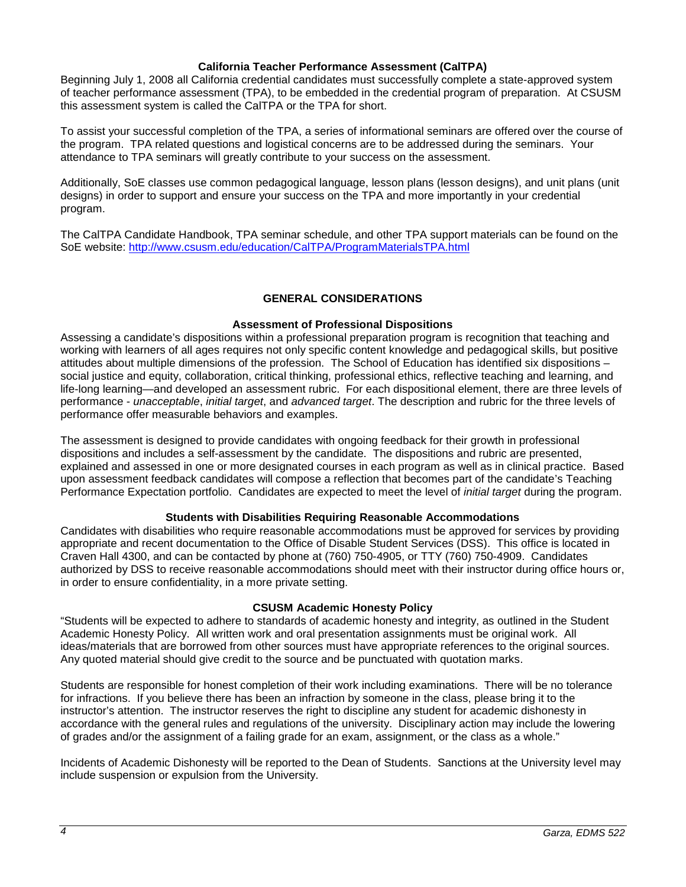#### **California Teacher Performance Assessment (CalTPA)**

Beginning July 1, 2008 all California credential candidates must successfully complete a state-approved system of teacher performance assessment (TPA), to be embedded in the credential program of preparation. At CSUSM this assessment system is called the CalTPA or the TPA for short.

To assist your successful completion of the TPA, a series of informational seminars are offered over the course of the program. TPA related questions and logistical concerns are to be addressed during the seminars. Your attendance to TPA seminars will greatly contribute to your success on the assessment.

Additionally, SoE classes use common pedagogical language, lesson plans (lesson designs), and unit plans (unit designs) in order to support and ensure your success on the TPA and more importantly in your credential program.

The CalTPA Candidate Handbook, TPA seminar schedule, and other TPA support materials can be found on the SoE website: <http://www.csusm.edu/education/CalTPA/ProgramMaterialsTPA.html>

# **GENERAL CONSIDERATIONS**

#### **Assessment of Professional Dispositions**

Assessing a candidate's dispositions within a professional preparation program is recognition that teaching and working with learners of all ages requires not only specific content knowledge and pedagogical skills, but positive attitudes about multiple dimensions of the profession. The School of Education has identified six dispositions – social justice and equity, collaboration, critical thinking, professional ethics, reflective teaching and learning, and life-long learning—and developed an assessment rubric. For each dispositional element, there are three levels of performance - *unacceptable*, *initial target*, and *advanced target*. The description and rubric for the three levels of performance offer measurable behaviors and examples.

The assessment is designed to provide candidates with ongoing feedback for their growth in professional dispositions and includes a self-assessment by the candidate. The dispositions and rubric are presented, explained and assessed in one or more designated courses in each program as well as in clinical practice. Based upon assessment feedback candidates will compose a reflection that becomes part of the candidate's Teaching Performance Expectation portfolio. Candidates are expected to meet the level of *initial target* during the program.

#### **Students with Disabilities Requiring Reasonable Accommodations**

Candidates with disabilities who require reasonable accommodations must be approved for services by providing appropriate and recent documentation to the Office of Disable Student Services (DSS). This office is located in Craven Hall 4300, and can be contacted by phone at (760) 750-4905, or TTY (760) 750-4909. Candidates authorized by DSS to receive reasonable accommodations should meet with their instructor during office hours or, in order to ensure confidentiality, in a more private setting.

#### **CSUSM Academic Honesty Policy**

"Students will be expected to adhere to standards of academic honesty and integrity, as outlined in the Student Academic Honesty Policy. All written work and oral presentation assignments must be original work. All ideas/materials that are borrowed from other sources must have appropriate references to the original sources. Any quoted material should give credit to the source and be punctuated with quotation marks.

Students are responsible for honest completion of their work including examinations. There will be no tolerance for infractions. If you believe there has been an infraction by someone in the class, please bring it to the instructor's attention. The instructor reserves the right to discipline any student for academic dishonesty in accordance with the general rules and regulations of the university. Disciplinary action may include the lowering of grades and/or the assignment of a failing grade for an exam, assignment, or the class as a whole."

Incidents of Academic Dishonesty will be reported to the Dean of Students. Sanctions at the University level may include suspension or expulsion from the University.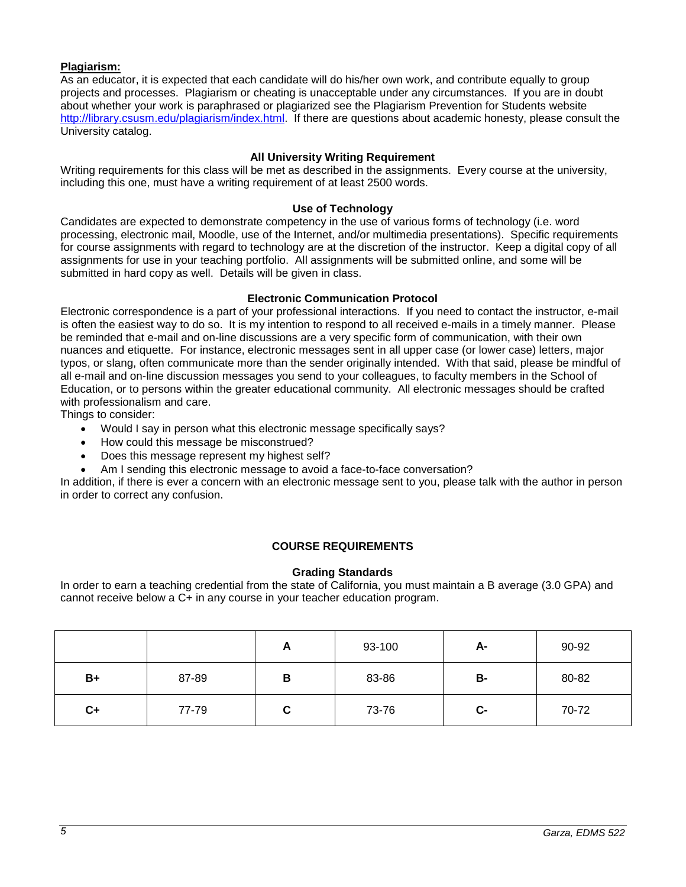## **Plagiarism:**

As an educator, it is expected that each candidate will do his/her own work, and contribute equally to group projects and processes. Plagiarism or cheating is unacceptable under any circumstances. If you are in doubt about whether your work is paraphrased or plagiarized see the Plagiarism Prevention for Students website [http://library.csusm.edu/plagiarism/index.html.](http://library.csusm.edu/plagiarism/index.html) If there are questions about academic honesty, please consult the University catalog.

## **All University Writing Requirement**

Writing requirements for this class will be met as described in the assignments. Every course at the university, including this one, must have a writing requirement of at least 2500 words.

#### **Use of Technology**

Candidates are expected to demonstrate competency in the use of various forms of technology (i.e. word processing, electronic mail, Moodle, use of the Internet, and/or multimedia presentations). Specific requirements for course assignments with regard to technology are at the discretion of the instructor. Keep a digital copy of all assignments for use in your teaching portfolio. All assignments will be submitted online, and some will be submitted in hard copy as well. Details will be given in class.

#### **Electronic Communication Protocol**

Electronic correspondence is a part of your professional interactions. If you need to contact the instructor, e-mail is often the easiest way to do so. It is my intention to respond to all received e-mails in a timely manner. Please be reminded that e-mail and on-line discussions are a very specific form of communication, with their own nuances and etiquette. For instance, electronic messages sent in all upper case (or lower case) letters, major typos, or slang, often communicate more than the sender originally intended. With that said, please be mindful of all e-mail and on-line discussion messages you send to your colleagues, to faculty members in the School of Education, or to persons within the greater educational community. All electronic messages should be crafted with professionalism and care.

Things to consider:

- Would I say in person what this electronic message specifically says?
- How could this message be misconstrued?
- Does this message represent my highest self?
- Am I sending this electronic message to avoid a face-to-face conversation?

In addition, if there is ever a concern with an electronic message sent to you, please talk with the author in person in order to correct any confusion.

#### **COURSE REQUIREMENTS**

#### **Grading Standards**

In order to earn a teaching credential from the state of California, you must maintain a B average (3.0 GPA) and cannot receive below a C+ in any course in your teacher education program.

|      |       | A | 93-100 | А-   | 90-92 |
|------|-------|---|--------|------|-------|
| $B+$ | 87-89 | B | 83-86  | В-   | 80-82 |
| $C+$ | 77-79 | С | 73-76  | $c-$ | 70-72 |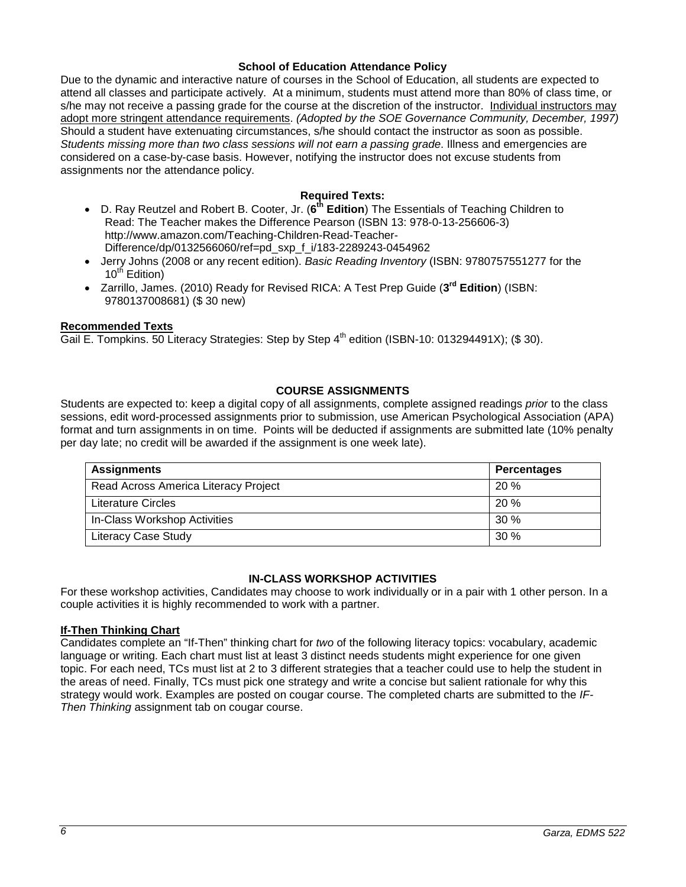#### **School of Education Attendance Policy**

Due to the dynamic and interactive nature of courses in the School of Education, all students are expected to attend all classes and participate actively. At a minimum, students must attend more than 80% of class time, or s/he may not receive a passing grade for the course at the discretion of the instructor. Individual instructors may adopt more stringent attendance requirements. *(Adopted by the SOE Governance Community, December, 1997)*  Should a student have extenuating circumstances, s/he should contact the instructor as soon as possible. *Students missing more than two class sessions will not earn a passing grade*. Illness and emergencies are considered on a case-by-case basis. However, notifying the instructor does not excuse students from assignments nor the attendance policy.

### **Required Texts:**

- D. Ray Reutzel and Robert B. Cooter, Jr. (**6th Edition**) The Essentials of Teaching Children to Read: The Teacher makes the Difference Pearson (ISBN 13: 978-0-13-256606-3) http://www.amazon.com/Teaching-Children-Read-Teacher-Difference/dp/0132566060/ref=pd\_sxp\_f\_i/183-2289243-0454962
- Jerry Johns (2008 or any recent edition). *Basic Reading Inventory* (ISBN: 9780757551277 for the  $10^{th}$  Edition)
- Zarrillo, James. (2010) Ready for Revised RICA: A Test Prep Guide (**3rd Edition**) (ISBN: 9780137008681) (\$ 30 new)

#### **Recommended Texts**

Gail E. Tompkins. 50 Literacy Strategies: Step by Step  $4<sup>th</sup>$  edition (ISBN-10: 013294491X); (\$ 30).

#### **COURSE ASSIGNMENTS**

Students are expected to: keep a digital copy of all assignments, complete assigned readings *prior* to the class sessions, edit word-processed assignments prior to submission, use American Psychological Association (APA) format and turn assignments in on time. Points will be deducted if assignments are submitted late (10% penalty per day late; no credit will be awarded if the assignment is one week late).

| <b>Assignments</b>                   | <b>Percentages</b> |
|--------------------------------------|--------------------|
| Read Across America Literacy Project | 20%                |
| <b>Literature Circles</b>            | 20%                |
| In-Class Workshop Activities         | 30%                |
| <b>Literacy Case Study</b>           | 30%                |

#### **IN-CLASS WORKSHOP ACTIVITIES**

For these workshop activities, Candidates may choose to work individually or in a pair with 1 other person. In a couple activities it is highly recommended to work with a partner.

#### **If-Then Thinking Chart**

Candidates complete an "If-Then" thinking chart for *two* of the following literacy topics: vocabulary, academic language or writing. Each chart must list at least 3 distinct needs students might experience for one given topic. For each need, TCs must list at 2 to 3 different strategies that a teacher could use to help the student in the areas of need. Finally, TCs must pick one strategy and write a concise but salient rationale for why this strategy would work. Examples are posted on cougar course. The completed charts are submitted to the *IF-Then Thinking* assignment tab on cougar course.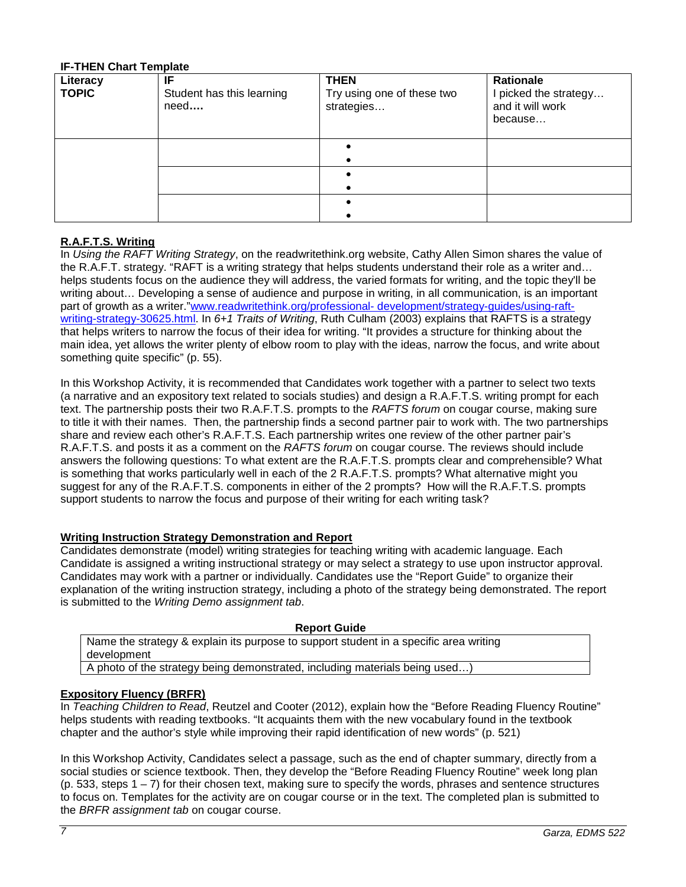### **IF-THEN Chart Template**

| Literacy<br><b>TOPIC</b> | IF<br>Student has this learning<br>need | <b>THEN</b><br>Try using one of these two<br>strategies | Rationale<br>I picked the strategy<br>and it will work<br>because |
|--------------------------|-----------------------------------------|---------------------------------------------------------|-------------------------------------------------------------------|
|                          |                                         |                                                         |                                                                   |
|                          |                                         |                                                         |                                                                   |
|                          |                                         |                                                         |                                                                   |

# **R.A.F.T.S. Writing**

In *Using the RAFT Writing Strategy*, on the readwritethink.org website, Cathy Allen Simon shares the value of the R.A.F.T. strategy. "RAFT is a writing strategy that helps students understand their role as a writer and… helps students focus on the audience they will address, the varied formats for writing, and the topic they'll be writing about… Developing a sense of audience and purpose in writing, in all communication, is an important part of growth as a writer."www.readwritethink.org/professional- [development/strategy-guides/using-raft](http://www.readwritethink.org/professional-%20development/strategy-guides/using-raft-writing-strategy-30625.html)[writing-strategy-30625.html.](http://www.readwritethink.org/professional-%20development/strategy-guides/using-raft-writing-strategy-30625.html) In *6+1 Traits of Writing*, Ruth Culham (2003) explains that RAFTS is a strategy that helps writers to narrow the focus of their idea for writing. "It provides a structure for thinking about the main idea, yet allows the writer plenty of elbow room to play with the ideas, narrow the focus, and write about something quite specific" (p. 55).

In this Workshop Activity, it is recommended that Candidates work together with a partner to select two texts (a narrative and an expository text related to socials studies) and design a R.A.F.T.S. writing prompt for each text. The partnership posts their two R.A.F.T.S. prompts to the *RAFTS forum* on cougar course, making sure to title it with their names. Then, the partnership finds a second partner pair to work with. The two partnerships share and review each other's R.A.F.T.S. Each partnership writes one review of the other partner pair's R.A.F.T.S. and posts it as a comment on the *RAFTS forum* on cougar course. The reviews should include answers the following questions: To what extent are the R.A.F.T.S. prompts clear and comprehensible? What is something that works particularly well in each of the 2 R.A.F.T.S. prompts? What alternative might you suggest for any of the R.A.F.T.S. components in either of the 2 prompts? How will the R.A.F.T.S. prompts support students to narrow the focus and purpose of their writing for each writing task?

#### **Writing Instruction Strategy Demonstration and Report**

Candidates demonstrate (model) writing strategies for teaching writing with academic language. Each Candidate is assigned a writing instructional strategy or may select a strategy to use upon instructor approval. Candidates may work with a partner or individually. Candidates use the "Report Guide" to organize their explanation of the writing instruction strategy, including a photo of the strategy being demonstrated. The report is submitted to the *Writing Demo assignment tab*.

#### **Report Guide**

Name the strategy & explain its purpose to support student in a specific area writing development

A photo of the strategy being demonstrated, including materials being used…)

#### **Expository Fluency (BRFR)**

In *Teaching Children to Read*, Reutzel and Cooter (2012), explain how the "Before Reading Fluency Routine" helps students with reading textbooks. "It acquaints them with the new vocabulary found in the textbook chapter and the author's style while improving their rapid identification of new words" (p. 521)

In this Workshop Activity, Candidates select a passage, such as the end of chapter summary, directly from a social studies or science textbook. Then, they develop the "Before Reading Fluency Routine" week long plan  $(p. 533, steps 1 – 7)$  for their chosen text, making sure to specify the words, phrases and sentence structures to focus on. Templates for the activity are on cougar course or in the text. The completed plan is submitted to the *BRFR assignment tab* on cougar course.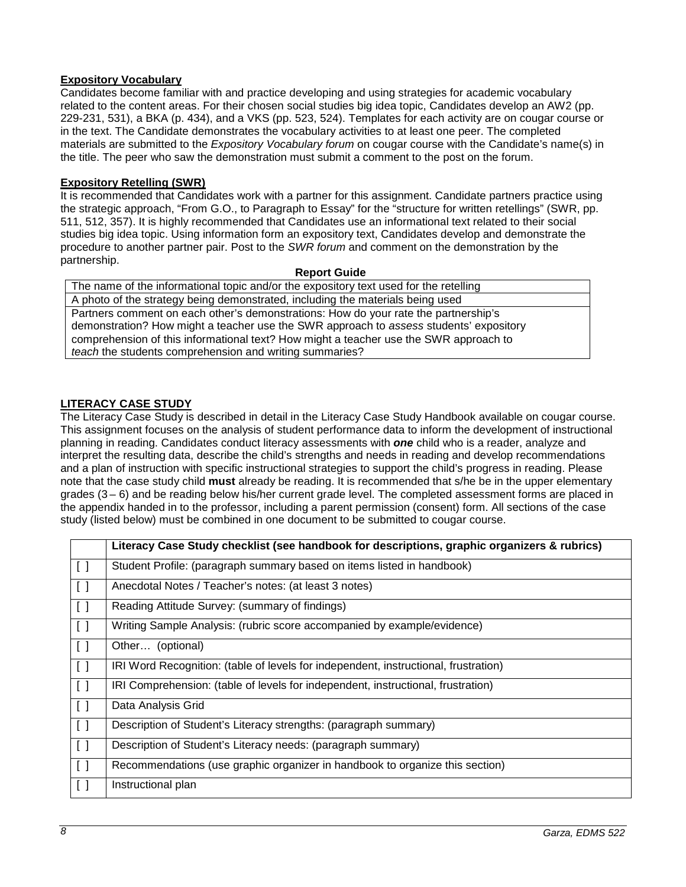# **Expository Vocabulary**

Candidates become familiar with and practice developing and using strategies for academic vocabulary related to the content areas. For their chosen social studies big idea topic, Candidates develop an AW2 (pp. 229-231, 531), a BKA (p. 434), and a VKS (pp. 523, 524). Templates for each activity are on cougar course or in the text. The Candidate demonstrates the vocabulary activities to at least one peer. The completed materials are submitted to the *Expository Vocabulary forum* on cougar course with the Candidate's name(s) in the title. The peer who saw the demonstration must submit a comment to the post on the forum.

# **Expository Retelling (SWR)**

It is recommended that Candidates work with a partner for this assignment. Candidate partners practice using the strategic approach, "From G.O., to Paragraph to Essay" for the "structure for written retellings" (SWR, pp. 511, 512, 357). It is highly recommended that Candidates use an informational text related to their social studies big idea topic. Using information form an expository text, Candidates develop and demonstrate the procedure to another partner pair. Post to the *SWR forum* and comment on the demonstration by the partnership.

#### **Report Guide**

The name of the informational topic and/or the expository text used for the retelling A photo of the strategy being demonstrated, including the materials being used Partners comment on each other's demonstrations: How do your rate the partnership's demonstration? How might a teacher use the SWR approach to *assess* students' expository comprehension of this informational text? How might a teacher use the SWR approach to *teach* the students comprehension and writing summaries?

# **LITERACY CASE STUDY**

The Literacy Case Study is described in detail in the Literacy Case Study Handbook available on cougar course. This assignment focuses on the analysis of student performance data to inform the development of instructional planning in reading. Candidates conduct literacy assessments with *one* child who is a reader, analyze and interpret the resulting data, describe the child's strengths and needs in reading and develop recommendations and a plan of instruction with specific instructional strategies to support the child's progress in reading. Please note that the case study child **must** already be reading. It is recommended that s/he be in the upper elementary grades (3 – 6) and be reading below his/her current grade level. The completed assessment forms are placed in the appendix handed in to the professor, including a parent permission (consent) form. All sections of the case study (listed below) must be combined in one document to be submitted to cougar course.

|                                   | Literacy Case Study checklist (see handbook for descriptions, graphic organizers & rubrics) |
|-----------------------------------|---------------------------------------------------------------------------------------------|
| $\Box$                            | Student Profile: (paragraph summary based on items listed in handbook)                      |
| $\begin{bmatrix} \end{bmatrix}$   | Anecdotal Notes / Teacher's notes: (at least 3 notes)                                       |
| $\begin{bmatrix} 1 \end{bmatrix}$ | Reading Attitude Survey: (summary of findings)                                              |
| $\begin{bmatrix} 1 \end{bmatrix}$ | Writing Sample Analysis: (rubric score accompanied by example/evidence)                     |
| $\begin{bmatrix} \end{bmatrix}$   | Other (optional)                                                                            |
| $\begin{bmatrix} \end{bmatrix}$   | IRI Word Recognition: (table of levels for independent, instructional, frustration)         |
| $\begin{bmatrix} 1 \end{bmatrix}$ | IRI Comprehension: (table of levels for independent, instructional, frustration)            |
| $\begin{bmatrix} 1 \end{bmatrix}$ | Data Analysis Grid                                                                          |
| $\Box$                            | Description of Student's Literacy strengths: (paragraph summary)                            |
| $\begin{bmatrix} 1 \end{bmatrix}$ | Description of Student's Literacy needs: (paragraph summary)                                |
| $\begin{bmatrix} 1 \end{bmatrix}$ | Recommendations (use graphic organizer in handbook to organize this section)                |
| $\begin{bmatrix} 1 \end{bmatrix}$ | Instructional plan                                                                          |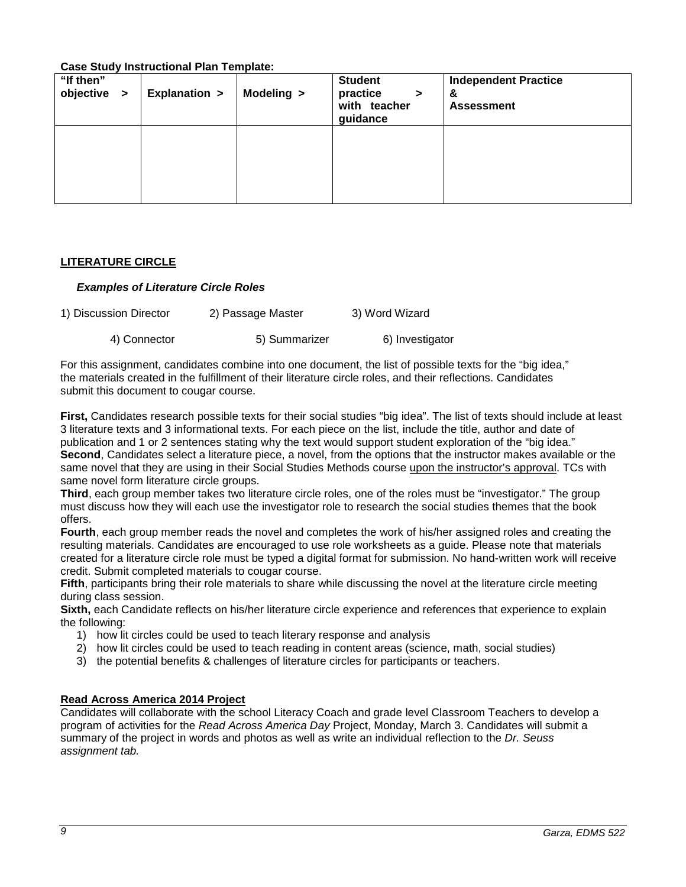**Case Study Instructional Plan Template:**

| "If then"           | <u>0000 0000, monaccoman ran romplato.</u> |            | <b>Student</b>                                 | <b>Independent Practice</b> |
|---------------------|--------------------------------------------|------------|------------------------------------------------|-----------------------------|
| objective<br>$\geq$ | <b>Explanation &gt;</b>                    | Modeling > | practice<br>$\geq$<br>with teacher<br>guidance | &<br><b>Assessment</b>      |
|                     |                                            |            |                                                |                             |
|                     |                                            |            |                                                |                             |
|                     |                                            |            |                                                |                             |
|                     |                                            |            |                                                |                             |

# **LITERATURE CIRCLE**

### *Examples of Literature Circle Roles*

| 1) Discussion Director | 2) Passage Master | 3) Word Wizard  |
|------------------------|-------------------|-----------------|
| 4) Connector           | 5) Summarizer     | 6) Investigator |

For this assignment, candidates combine into one document, the list of possible texts for the "big idea," the materials created in the fulfillment of their literature circle roles, and their reflections. Candidates submit this document to cougar course.

**First,** Candidates research possible texts for their social studies "big idea". The list of texts should include at least 3 literature texts and 3 informational texts. For each piece on the list, include the title, author and date of publication and 1 or 2 sentences stating why the text would support student exploration of the "big idea." **Second**, Candidates select a literature piece, a novel, from the options that the instructor makes available or the same novel that they are using in their Social Studies Methods course upon the instructor's approval. TCs with same novel form literature circle groups.

**Third**, each group member takes two literature circle roles, one of the roles must be "investigator." The group must discuss how they will each use the investigator role to research the social studies themes that the book offers.

**Fourth**, each group member reads the novel and completes the work of his/her assigned roles and creating the resulting materials. Candidates are encouraged to use role worksheets as a guide. Please note that materials created for a literature circle role must be typed a digital format for submission. No hand-written work will receive credit. Submit completed materials to cougar course.

**Fifth**, participants bring their role materials to share while discussing the novel at the literature circle meeting during class session.

**Sixth,** each Candidate reflects on his/her literature circle experience and references that experience to explain the following:

- 1) how lit circles could be used to teach literary response and analysis
- 2) how lit circles could be used to teach reading in content areas (science, math, social studies)
- 3) the potential benefits & challenges of literature circles for participants or teachers.

# **Read Across America 2014 Project**

Candidates will collaborate with the school Literacy Coach and grade level Classroom Teachers to develop a program of activities for the *Read Across America Day* Project, Monday, March 3. Candidates will submit a summary of the project in words and photos as well as write an individual reflection to the *Dr. Seuss assignment tab.*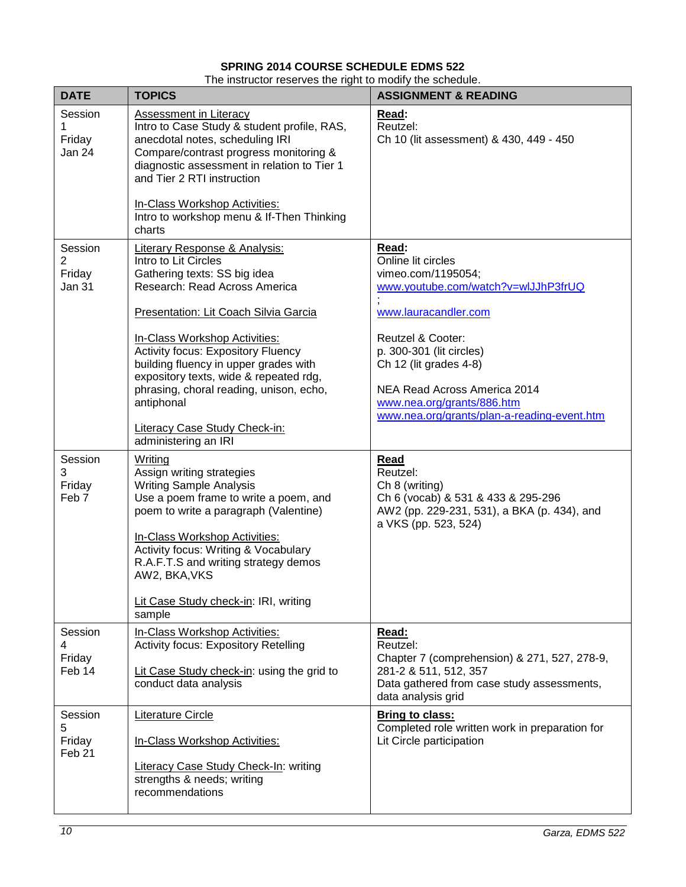# **SPRING 2014 COURSE SCHEDULE EDMS 522**

The instructor reserves the right to modify the schedule.

| <b>DATE</b>                                 | <b>TOPICS</b>                                                                                                                                                                                                                                                                                                                                 | <b>ASSIGNMENT &amp; READING</b>                                                                                                                                                      |
|---------------------------------------------|-----------------------------------------------------------------------------------------------------------------------------------------------------------------------------------------------------------------------------------------------------------------------------------------------------------------------------------------------|--------------------------------------------------------------------------------------------------------------------------------------------------------------------------------------|
| Session<br>1<br>Friday<br>Jan 24            | <b>Assessment in Literacy</b><br>Intro to Case Study & student profile, RAS,<br>anecdotal notes, scheduling IRI<br>Compare/contrast progress monitoring &<br>diagnostic assessment in relation to Tier 1<br>and Tier 2 RTI instruction                                                                                                        | Read:<br>Reutzel:<br>Ch 10 (lit assessment) & 430, 449 - 450                                                                                                                         |
|                                             | In-Class Workshop Activities:<br>Intro to workshop menu & If-Then Thinking<br>charts                                                                                                                                                                                                                                                          |                                                                                                                                                                                      |
| Session<br>2<br>Friday<br>Jan 31            | <b>Literary Response &amp; Analysis:</b><br>Intro to Lit Circles<br>Gathering texts: SS big idea<br>Research: Read Across America<br>Presentation: Lit Coach Silvia Garcia                                                                                                                                                                    | Read:<br>Online lit circles<br>vimeo.com/1195054;<br>www.youtube.com/watch?v=wlJJhP3frUQ<br>www.lauracandler.com                                                                     |
|                                             | In-Class Workshop Activities:<br><b>Activity focus: Expository Fluency</b><br>building fluency in upper grades with<br>expository texts, wide & repeated rdg,<br>phrasing, choral reading, unison, echo,<br>antiphonal<br><b>Literacy Case Study Check-in:</b><br>administering an IRI                                                        | Reutzel & Cooter:<br>p. 300-301 (lit circles)<br>Ch 12 (lit grades 4-8)<br>NEA Read Across America 2014<br>www.nea.org/grants/886.htm<br>www.nea.org/grants/plan-a-reading-event.htm |
| Session<br>3<br>Friday<br>Feb <sub>7</sub>  | Writing<br>Assign writing strategies<br><b>Writing Sample Analysis</b><br>Use a poem frame to write a poem, and<br>poem to write a paragraph (Valentine)<br>In-Class Workshop Activities:<br>Activity focus: Writing & Vocabulary<br>R.A.F.T.S and writing strategy demos<br>AW2, BKA, VKS<br>Lit Case Study check-in: IRI, writing<br>sample | Read<br>Reutzel:<br>Ch 8 (writing)<br>Ch 6 (vocab) & 531 & 433 & 295-296<br>AW2 (pp. 229-231, 531), a BKA (p. 434), and<br>a VKS (pp. 523, 524)                                      |
| Session<br>4<br>Friday<br>Feb 14            | In-Class Workshop Activities:<br><b>Activity focus: Expository Retelling</b><br>Lit Case Study check-in: using the grid to<br>conduct data analysis                                                                                                                                                                                           | Read:<br>Reutzel:<br>Chapter 7 (comprehension) & 271, 527, 278-9,<br>281-2 & 511, 512, 357<br>Data gathered from case study assessments,<br>data analysis grid                       |
| Session<br>5<br>Friday<br>Feb <sub>21</sub> | <b>Literature Circle</b><br>In-Class Workshop Activities:<br><b>Literacy Case Study Check-In: writing</b><br>strengths & needs; writing<br>recommendations                                                                                                                                                                                    | <b>Bring to class:</b><br>Completed role written work in preparation for<br>Lit Circle participation                                                                                 |